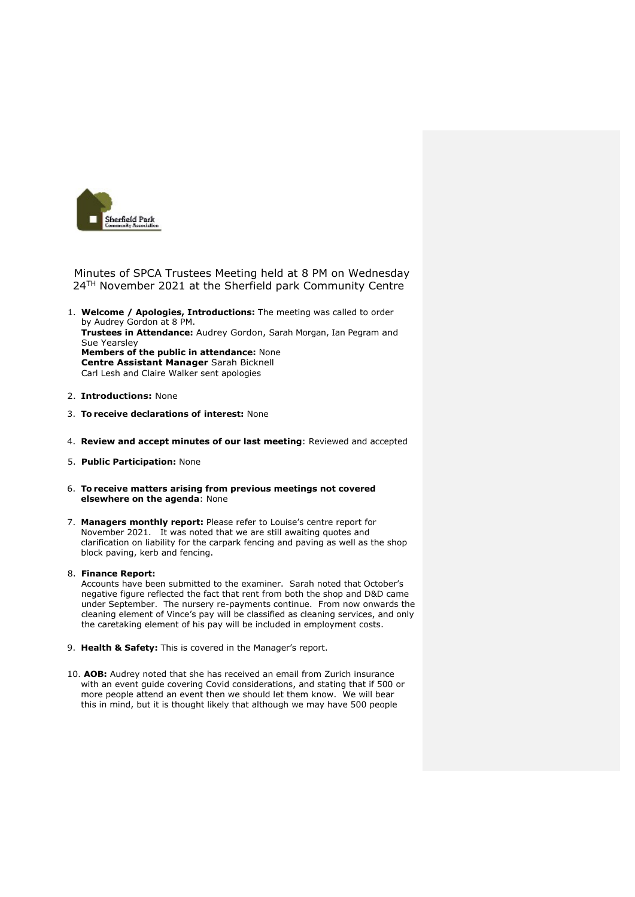

Minutes of SPCA Trustees Meeting held at 8 PM on Wednesday 24<sup>TH</sup> November 2021 at the Sherfield park Community Centre

- 1. **Welcome / Apologies, Introductions:** The meeting was called to order by Audrey Gordon at 8 PM. **Trustees in Attendance:** Audrey Gordon, Sarah Morgan, Ian Pegram and Sue Yearsley **Members of the public in attendance:** None **Centre Assistant Manager** Sarah Bicknell Carl Lesh and Claire Walker sent apologies
- 2. **Introductions:** None
- 3. **To receive declarations of interest:** None
- 4. **Review and accept minutes of our last meeting**: Reviewed and accepted
- 5. **Public Participation:** None
- 6. **To receive matters arising from previous meetings not covered elsewhere on the agenda**: None
- 7. **Managers monthly report:** Please refer to Louise's centre report for November 2021. It was noted that we are still awaiting quotes and clarification on liability for the carpark fencing and paving as well as the shop block paving, kerb and fencing.

## 8. **Finance Report:**

Accounts have been submitted to the examiner. Sarah noted that October's negative figure reflected the fact that rent from both the shop and D&D came under September. The nursery re-payments continue. From now onwards the cleaning element of Vince's pay will be classified as cleaning services, and only the caretaking element of his pay will be included in employment costs.

- 9. **Health & Safety:** This is covered in the Manager's report.
- 10. **AOB:** Audrey noted that she has received an email from Zurich insurance with an event guide covering Covid considerations, and stating that if 500 or more people attend an event then we should let them know. We will bear this in mind, but it is thought likely that although we may have 500 people